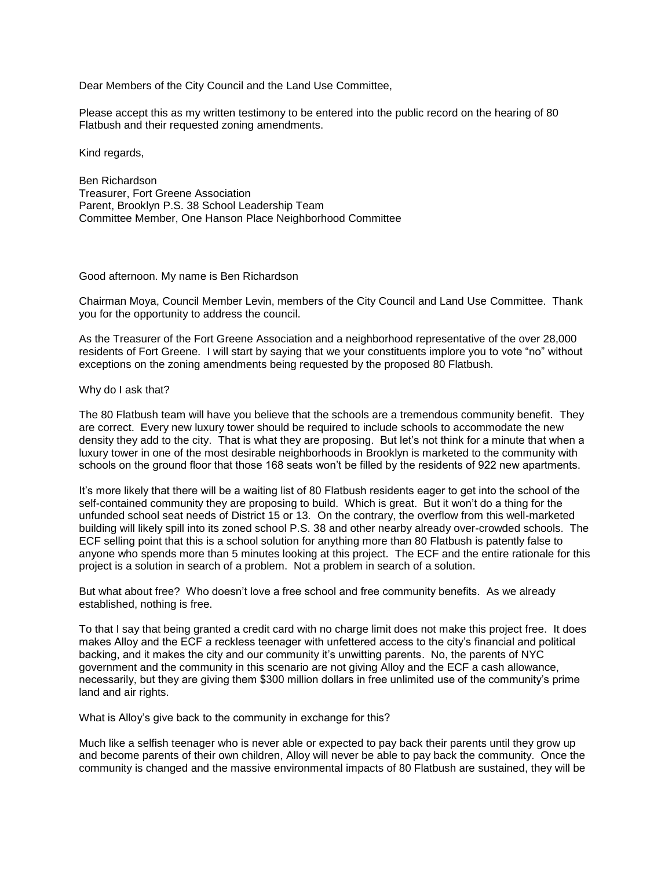Dear Members of the City Council and the Land Use Committee,

Please accept this as my written testimony to be entered into the public record on the hearing of 80 Flatbush and their requested zoning amendments.

Kind regards,

Ben Richardson Treasurer, Fort Greene Association Parent, Brooklyn P.S. 38 School Leadership Team Committee Member, One Hanson Place Neighborhood Committee

## Good afternoon. My name is Ben Richardson

Chairman Moya, Council Member Levin, members of the City Council and Land Use Committee. Thank you for the opportunity to address the council.

As the Treasurer of the Fort Greene Association and a neighborhood representative of the over 28,000 residents of Fort Greene. I will start by saying that we your constituents implore you to vote "no" without exceptions on the zoning amendments being requested by the proposed 80 Flatbush.

## Why do I ask that?

The 80 Flatbush team will have you believe that the schools are a tremendous community benefit. They are correct. Every new luxury tower should be required to include schools to accommodate the new density they add to the city. That is what they are proposing. But let's not think for a minute that when a luxury tower in one of the most desirable neighborhoods in Brooklyn is marketed to the community with schools on the ground floor that those 168 seats won't be filled by the residents of 922 new apartments.

It's more likely that there will be a waiting list of 80 Flatbush residents eager to get into the school of the self-contained community they are proposing to build. Which is great. But it won't do a thing for the unfunded school seat needs of District 15 or 13. On the contrary, the overflow from this well-marketed building will likely spill into its zoned school P.S. 38 and other nearby already over-crowded schools. The ECF selling point that this is a school solution for anything more than 80 Flatbush is patently false to anyone who spends more than 5 minutes looking at this project. The ECF and the entire rationale for this project is a solution in search of a problem. Not a problem in search of a solution.

But what about free? Who doesn't love a free school and free community benefits. As we already established, nothing is free.

To that I say that being granted a credit card with no charge limit does not make this project free. It does makes Alloy and the ECF a reckless teenager with unfettered access to the city's financial and political backing, and it makes the city and our community it's unwitting parents. No, the parents of NYC government and the community in this scenario are not giving Alloy and the ECF a cash allowance, necessarily, but they are giving them \$300 million dollars in free unlimited use of the community's prime land and air rights.

What is Alloy's give back to the community in exchange for this?

Much like a selfish teenager who is never able or expected to pay back their parents until they grow up and become parents of their own children, Alloy will never be able to pay back the community. Once the community is changed and the massive environmental impacts of 80 Flatbush are sustained, they will be